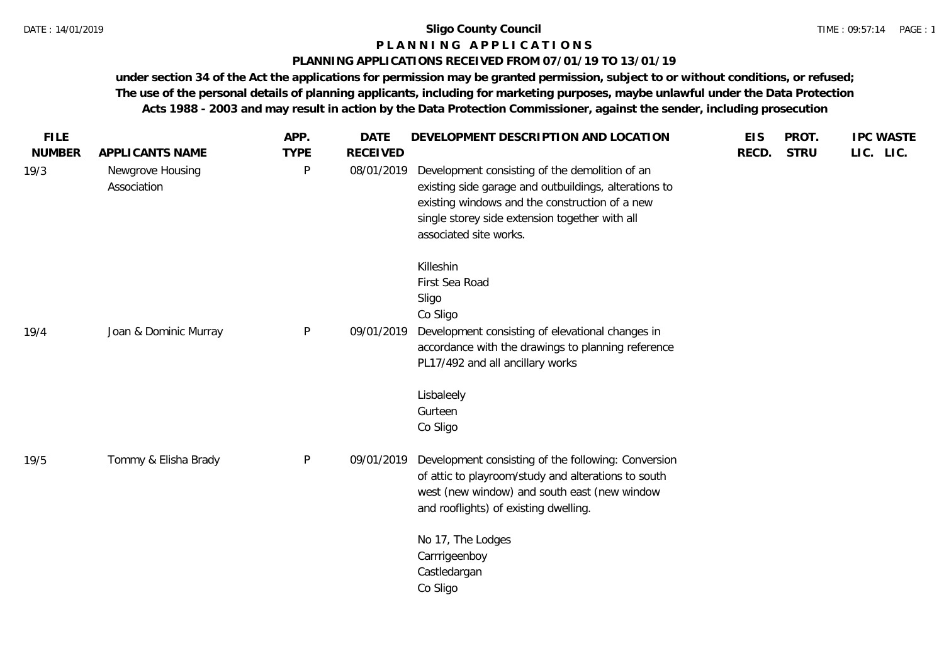## **P L A N N I N G A P P L I C A T I O N S**

## **PLANNING APPLICATIONS RECEIVED FROM 07/01/19 TO 13/01/19**

**under section 34 of the Act the applications for permission may be granted permission, subject to or without conditions, or refused; The use of the personal details of planning applicants, including for marketing purposes, maybe unlawful under the Data Protection Acts 1988 - 2003 and may result in action by the Data Protection Commissioner, against the sender, including prosecution**

| <b>FILE</b>   |                                 | APP.         | <b>DATE</b>     | DEVELOPMENT DESCRIPTION AND LOCATION                                                                                                                                                                                                  | <b>EIS</b> | PROT.       | <b>IPC WASTE</b> |
|---------------|---------------------------------|--------------|-----------------|---------------------------------------------------------------------------------------------------------------------------------------------------------------------------------------------------------------------------------------|------------|-------------|------------------|
| <b>NUMBER</b> | APPLICANTS NAME                 | <b>TYPE</b>  | <b>RECEIVED</b> |                                                                                                                                                                                                                                       | RECD.      | <b>STRU</b> | LIC. LIC.        |
| 19/3          | Newgrove Housing<br>Association | P            | 08/01/2019      | Development consisting of the demolition of an<br>existing side garage and outbuildings, alterations to<br>existing windows and the construction of a new<br>single storey side extension together with all<br>associated site works. |            |             |                  |
| 19/4          | Joan & Dominic Murray           | P            | 09/01/2019      | Killeshin<br>First Sea Road<br>Sligo<br>Co Sligo<br>Development consisting of elevational changes in<br>accordance with the drawings to planning reference<br>PL17/492 and all ancillary works                                        |            |             |                  |
|               |                                 |              |                 | Lisbaleely<br>Gurteen<br>Co Sligo                                                                                                                                                                                                     |            |             |                  |
| 19/5          | Tommy & Elisha Brady            | $\mathsf{P}$ | 09/01/2019      | Development consisting of the following: Conversion<br>of attic to playroom/study and alterations to south<br>west (new window) and south east (new window<br>and rooflights) of existing dwelling.                                   |            |             |                  |
|               |                                 |              |                 | No 17, The Lodges<br>Carrrigeenboy<br>Castledargan<br>Co Sligo                                                                                                                                                                        |            |             |                  |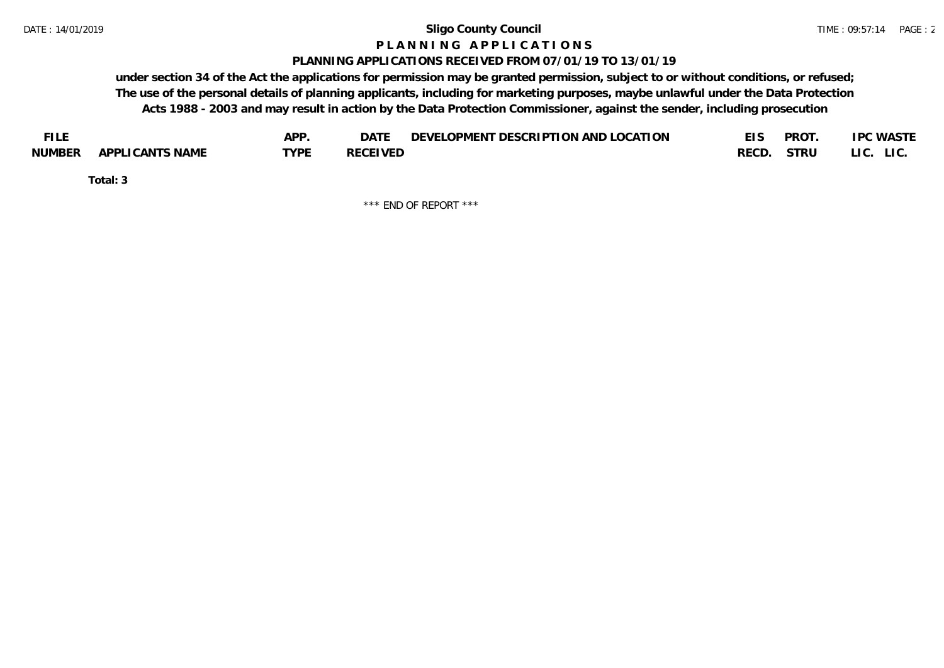#### **P L A N N I N G A P P L I C A T I O N S**

#### **PLANNING APPLICATIONS RECEIVED FROM 07/01/19 TO 13/01/19**

**under section 34 of the Act the applications for permission may be granted permission, subject to or without conditions, or refused; The use of the personal details of planning applicants, including for marketing purposes, maybe unlawful under the Data Protection Acts 1988 - 2003 and may result in action by the Data Protection Commissioner, against the sender, including prosecution**

| <b>FILE</b> |                 | APP. | DATE            | DEVELOPMENT DESCRIPTION AND LOCATION | <b>PROT</b> | <b>IPC WASTE</b>         |
|-------------|-----------------|------|-----------------|--------------------------------------|-------------|--------------------------|
| NUMBER      | APPLICANTS NAME | TVDF | <b>RECEIVED</b> |                                      | RECD. STRU  | LI C.<br>LI <sub>C</sub> |

**Total: 3**

\*\*\* END OF REPORT \*\*\*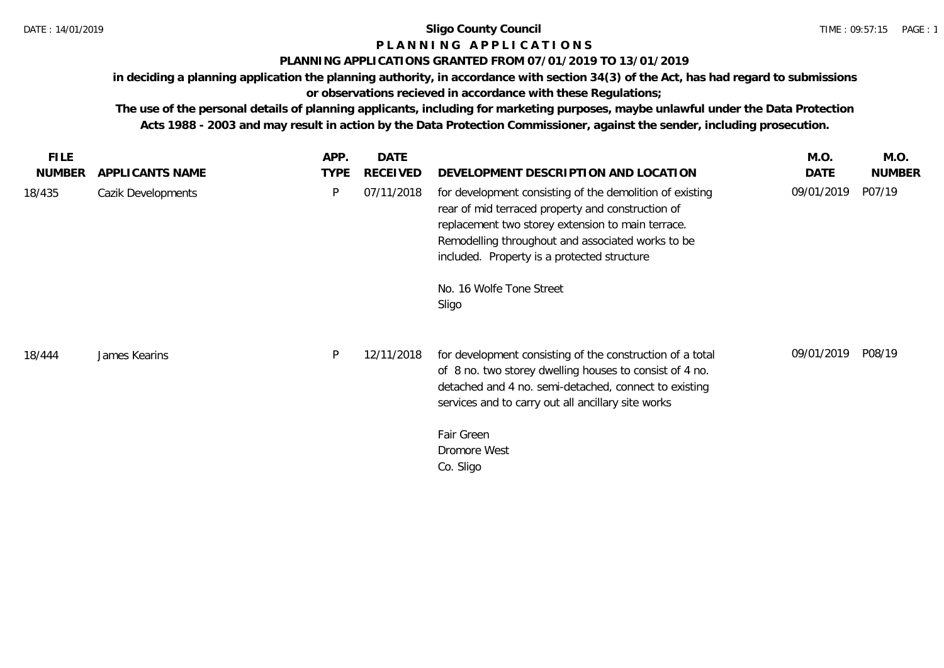## **P L A N N I N G A P P L I C A T I O N S**

## **PLANNING APPLICATIONS GRANTED FROM 07/01/2019 TO 13/01/2019**

**in deciding a planning application the planning authority, in accordance with section 34(3) of the Act, has had regard to submissions or observations recieved in accordance with these Regulations;**

**The use of the personal details of planning applicants, including for marketing purposes, maybe unlawful under the Data Protection Acts 1988 - 2003 and may result in action by the Data Protection Commissioner, against the sender, including prosecution.**

| FILE.<br><b>NUMBER</b> | APPLICANTS NAME    | APP.<br><b>TYPE</b> | <b>DATE</b><br>RECEIVED | DEVELOPMENT DESCRIPTION AND LOCATION                                                                                                                                                                                                                                   | M.O.<br>DATE | M.O.<br><b>NUMBER</b> |
|------------------------|--------------------|---------------------|-------------------------|------------------------------------------------------------------------------------------------------------------------------------------------------------------------------------------------------------------------------------------------------------------------|--------------|-----------------------|
| 18/435                 | Cazik Developments | P                   | 07/11/2018              | for development consisting of the demolition of existing<br>rear of mid terraced property and construction of<br>replacement two storey extension to main terrace.<br>Remodelling throughout and associated works to be<br>included. Property is a protected structure | 09/01/2019   | P07/19                |
|                        |                    |                     |                         | No. 16 Wolfe Tone Street<br>Sligo                                                                                                                                                                                                                                      |              |                       |
| 18/444                 | James Kearins      | P                   | 12/11/2018              | for development consisting of the construction of a total<br>of 8 no. two storey dwelling houses to consist of 4 no.<br>detached and 4 no. semi-detached, connect to existing<br>services and to carry out all ancillary site works                                    | 09/01/2019   | P08/19                |
|                        |                    |                     |                         | Fair Green<br>Dromore West<br>Co. Sligo                                                                                                                                                                                                                                |              |                       |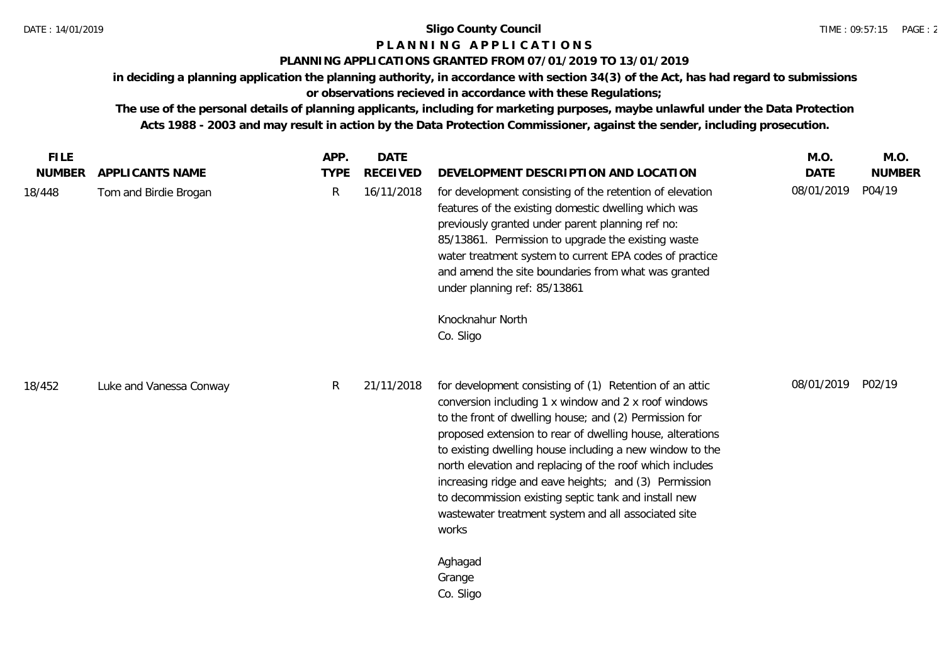# **P L A N N I N G A P P L I C A T I O N S**

## **PLANNING APPLICATIONS GRANTED FROM 07/01/2019 TO 13/01/2019**

**in deciding a planning application the planning authority, in accordance with section 34(3) of the Act, has had regard to submissions or observations recieved in accordance with these Regulations;**

**The use of the personal details of planning applicants, including for marketing purposes, maybe unlawful under the Data Protection Acts 1988 - 2003 and may result in action by the Data Protection Commissioner, against the sender, including prosecution.**

| <b>FILE</b><br><b>NUMBER</b> | APPLICANTS NAME         | APP.<br><b>TYPE</b> | <b>DATE</b><br><b>RECEIVED</b> | DEVELOPMENT DESCRIPTION AND LOCATION                                                                                                                                                                                                                                                                                                                                                                                                                                                                                                            | M.O.<br><b>DATE</b> | M.O.<br><b>NUMBER</b> |
|------------------------------|-------------------------|---------------------|--------------------------------|-------------------------------------------------------------------------------------------------------------------------------------------------------------------------------------------------------------------------------------------------------------------------------------------------------------------------------------------------------------------------------------------------------------------------------------------------------------------------------------------------------------------------------------------------|---------------------|-----------------------|
| 18/448                       | Tom and Birdie Brogan   | $\mathsf{R}$        | 16/11/2018                     | for development consisting of the retention of elevation<br>features of the existing domestic dwelling which was<br>previously granted under parent planning ref no:<br>85/13861. Permission to upgrade the existing waste<br>water treatment system to current EPA codes of practice<br>and amend the site boundaries from what was granted<br>under planning ref: 85/13861<br>Knocknahur North                                                                                                                                                | 08/01/2019          | P04/19                |
|                              |                         |                     |                                | Co. Sligo                                                                                                                                                                                                                                                                                                                                                                                                                                                                                                                                       |                     |                       |
| 18/452                       | Luke and Vanessa Conway | R                   | 21/11/2018                     | for development consisting of (1) Retention of an attic<br>conversion including 1 x window and 2 x roof windows<br>to the front of dwelling house; and (2) Permission for<br>proposed extension to rear of dwelling house, alterations<br>to existing dwelling house including a new window to the<br>north elevation and replacing of the roof which includes<br>increasing ridge and eave heights; and (3) Permission<br>to decommission existing septic tank and install new<br>wastewater treatment system and all associated site<br>works | 08/01/2019 P02/19   |                       |
|                              |                         |                     |                                | Aghagad<br>Grange<br>Co. Sligo                                                                                                                                                                                                                                                                                                                                                                                                                                                                                                                  |                     |                       |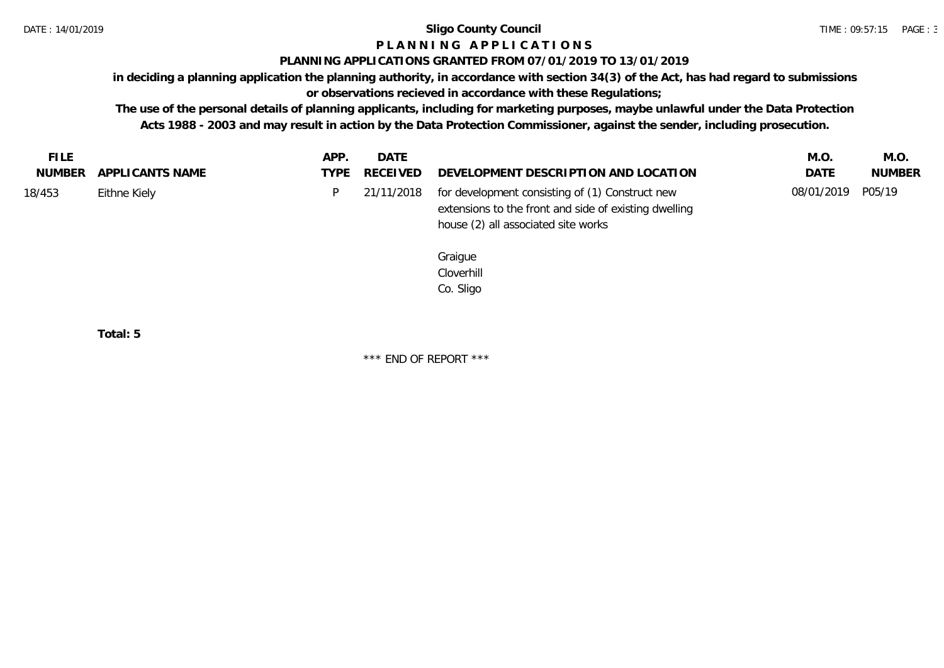# **P L A N N I N G A P P L I C A T I O N S**

## **PLANNING APPLICATIONS GRANTED FROM 07/01/2019 TO 13/01/2019**

**in deciding a planning application the planning authority, in accordance with section 34(3) of the Act, has had regard to submissions** 

## **or observations recieved in accordance with these Regulations;**

**The use of the personal details of planning applicants, including for marketing purposes, maybe unlawful under the Data Protection Acts 1988 - 2003 and may result in action by the Data Protection Commissioner, against the sender, including prosecution.**

| FILE   |                        | APP. | DATE          |                                                            | M.O.              | M.O.          |
|--------|------------------------|------|---------------|------------------------------------------------------------|-------------------|---------------|
|        | NUMBER APPLICANTS NAME |      | TYPE RECEIVED | DEVELOPMENT DESCRIPTION AND LOCATION                       | <b>DATE</b>       | <b>NUMBER</b> |
| 18/453 | Eithne Kiely           |      |               | 21/11/2018 for development consisting of (1) Construct new | 08/01/2019 P05/19 |               |
|        |                        |      |               | extensions to the front and side of existing dwelling      |                   |               |
|        |                        |      |               | house (2) all associated site works                        |                   |               |

Graigue Cloverhill Co. Sligo

**Total: 5**

\*\*\* END OF REPORT \*\*\*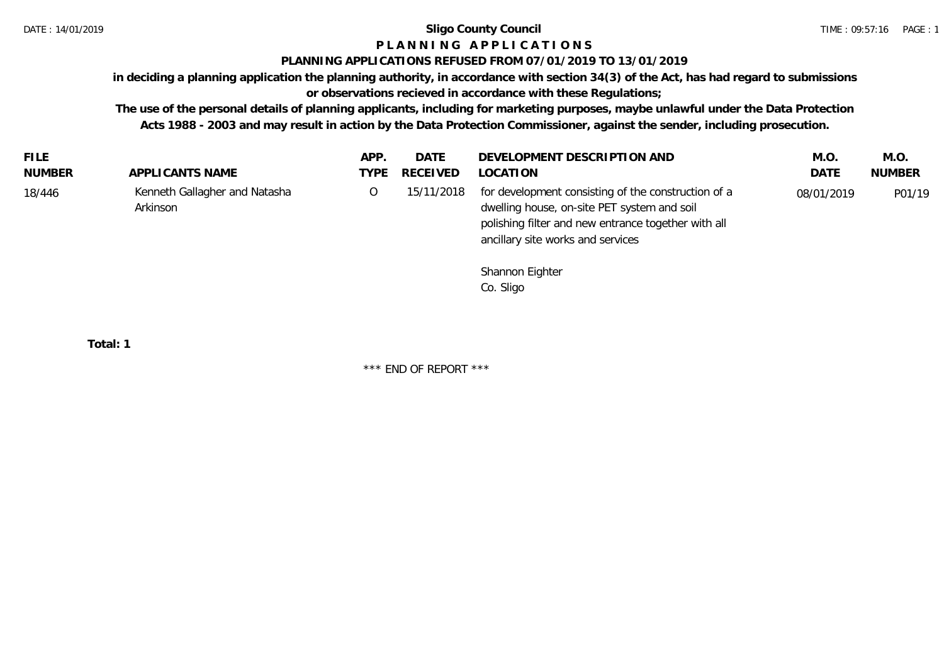# **P L A N N I N G A P P L I C A T I O N S**

## **PLANNING APPLICATIONS REFUSED FROM 07/01/2019 TO 13/01/2019**

**in deciding a planning application the planning authority, in accordance with section 34(3) of the Act, has had regard to submissions** 

**or observations recieved in accordance with these Regulations;**

**The use of the personal details of planning applicants, including for marketing purposes, maybe unlawful under the Data Protection Acts 1988 - 2003 and may result in action by the Data Protection Commissioner, against the sender, including prosecution.**

| <b>FILE</b> |                                           | APP. | DATE       | DEVELOPMENT DESCRIPTION AND                                                                                                                                                                    | M.O        | M.O.          |
|-------------|-------------------------------------------|------|------------|------------------------------------------------------------------------------------------------------------------------------------------------------------------------------------------------|------------|---------------|
| NUMBER      | APPLICANTS NAME                           | TYPF | RECEIVED   | LOCATION                                                                                                                                                                                       | DATE       | <b>NUMBER</b> |
| 18/446      | Kenneth Gallagher and Natasha<br>Arkinson | Ő    | 15/11/2018 | for development consisting of the construction of a<br>dwelling house, on-site PET system and soil<br>polishing filter and new entrance together with all<br>ancillary site works and services | 08/01/2019 | P01/19        |

Shannon Eighter Co. Sligo

**Total: 1**

\*\*\* END OF REPORT \*\*\*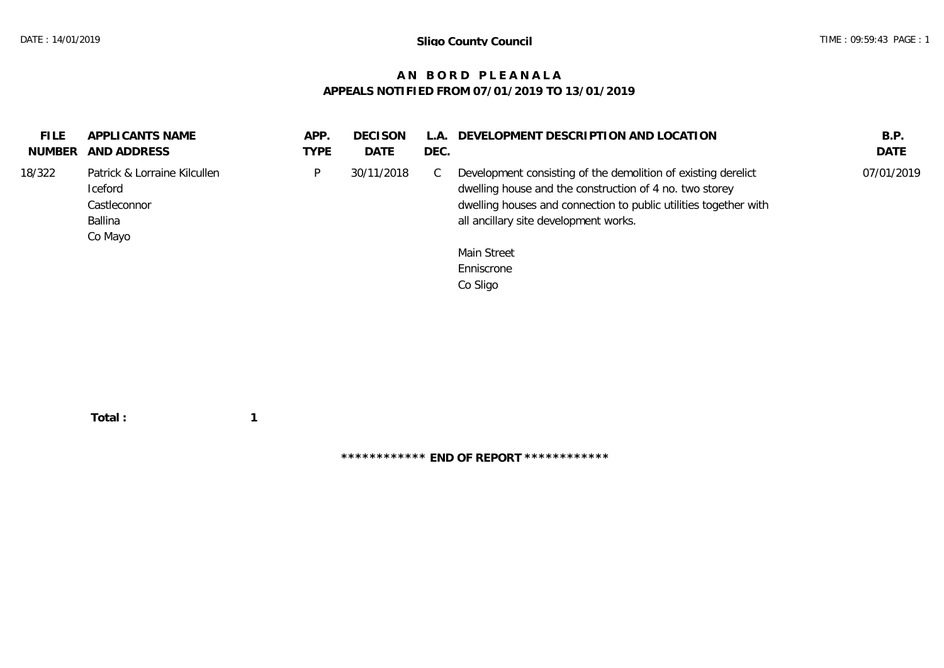## **A N B O R D P L E A N A L A APPEALS NOTIFIED FROM 07/01/2019 TO 13/01/2019**

| <b>FILE</b><br>NUMBER | APPLICANTS NAME<br>AND ADDRESS                                                | APP.<br><b>TYPE</b> | <b>DECISON</b><br><b>DATE</b> | $\mathsf{L}$ .<br>DEC. | DEVELOPMENT DESCRIPTION AND LOCATION                                                                                                                                                                                                  | B.P.<br><b>DATE</b> |
|-----------------------|-------------------------------------------------------------------------------|---------------------|-------------------------------|------------------------|---------------------------------------------------------------------------------------------------------------------------------------------------------------------------------------------------------------------------------------|---------------------|
| 18/322                | Patrick & Lorraine Kilcullen<br>Iceford<br>Castleconnor<br>Ballina<br>Co Mayo | P                   | 30/11/2018                    | - C                    | Development consisting of the demolition of existing derelict<br>dwelling house and the construction of 4 no. two storey<br>dwelling houses and connection to public utilities together with<br>all ancillary site development works. | 07/01/2019          |
|                       |                                                                               |                     |                               |                        | Main Street<br>Enniscrone<br>Co Sligo                                                                                                                                                                                                 |                     |
|                       |                                                                               |                     |                               |                        |                                                                                                                                                                                                                                       |                     |

 **Total : 1**

**\*\*\*\*\*\*\*\*\*\*\*\* END OF REPORT \*\*\*\*\*\*\*\*\*\*\*\***